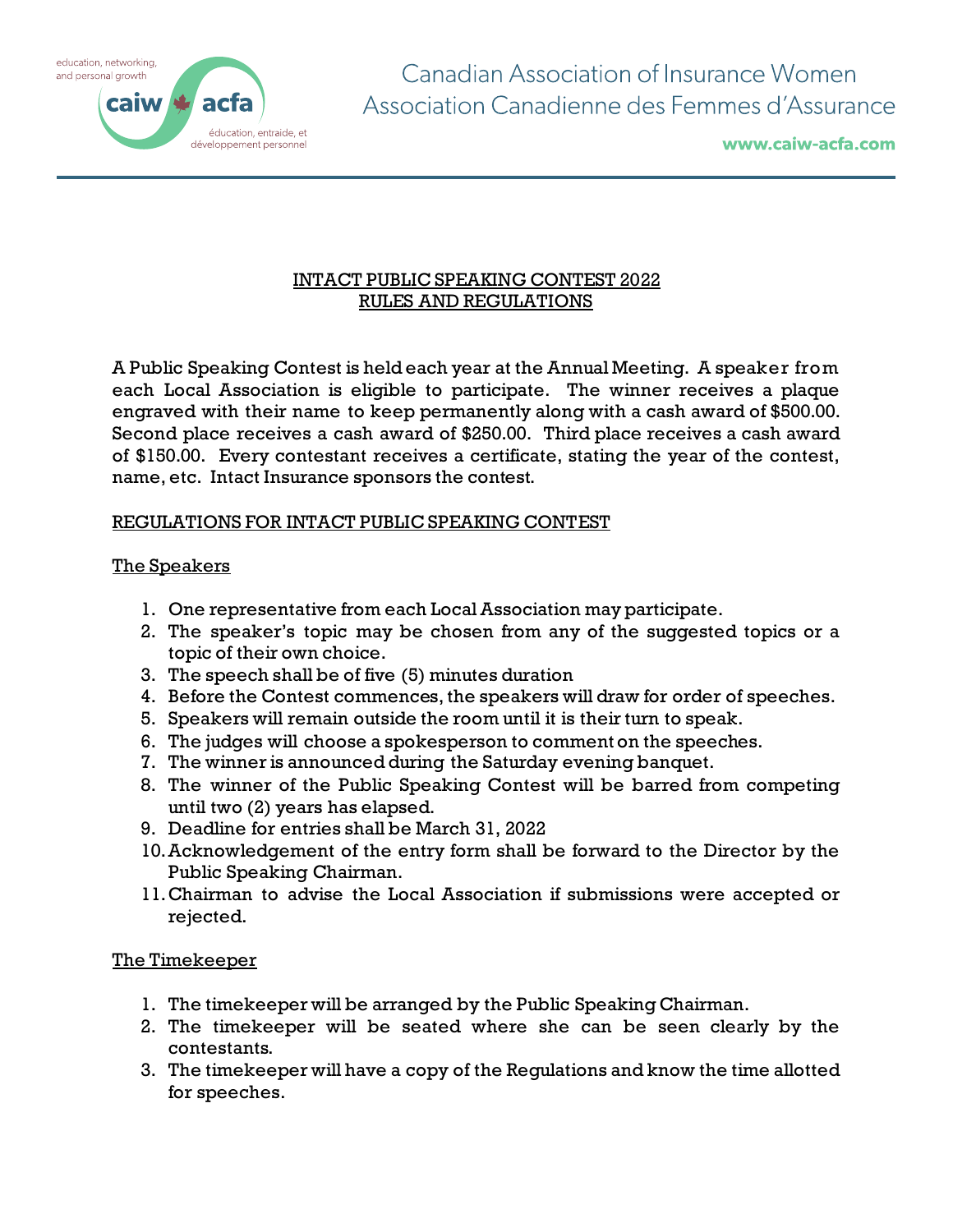www.caiw-acfa.com

## INTACT PUBLIC SPEAKING CONTEST 2022 RULES AND REGULATIONS

A Public Speaking Contest is held each year at the Annual Meeting. A speaker from each Local Association is eligible to participate. The winner receives a plaque engraved with their name to keep permanently along with a cash award of \$500.00. Second place receives a cash award of \$250.00. Third place receives a cash award of \$150.00. Every contestant receives a certificate, stating the year of the contest, name, etc. Intact Insurance sponsors the contest.

# REGULATIONS FOR INTACT PUBLIC SPEAKING CONTEST

## The Speakers

- 1. One representative from each Local Association may participate.
- 2. The speaker's topic may be chosen from any of the suggested topics or a topic of their own choice.
- 3. The speech shall be of five (5) minutes duration
- 4. Before the Contest commences, the speakers will draw for order of speeches.
- 5. Speakers will remain outside the room until it is their turn to speak.
- 6. The judges will choose a spokesperson to comment on the speeches.
- 7. The winner is announced during the Saturday evening banquet.
- 8. The winner of the Public Speaking Contest will be barred from competing until two (2) years has elapsed.
- 9. Deadline for entries shall be March 31, 2022
- 10.Acknowledgement of the entry form shall be forward to the Director by the Public Speaking Chairman.
- 11.Chairman to advise the Local Association if submissions were accepted or rejected.

### The Timekeeper

- 1. The timekeeper will be arranged by the Public Speaking Chairman.
- 2. The timekeeper will be seated where she can be seen clearly by the contestants.
- 3. The timekeeper will have a copy of the Regulations and know the time allotted for speeches.